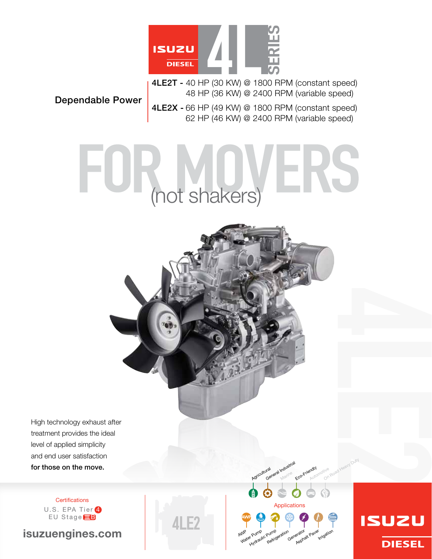

4LE2T - 40 HP (30 kW) @ 1800 RPM (constant speed) 48 HP (36 kW) @ 2400 RPM (variable speed)

Dependable Power

4LE2X - 66 HP (49 kW) @ 1800 RPM (constant speed) 62 HP (46 kW) @ 2400 RPM (variable speed)

# (not shakers)

High technology exhaust after treatment provides the ideal level of applied simplicity and end user satisfaction for those on the move.

> **Certifications** U.S. EPA Tier 4 EU Stage **IIB**

isuzuengines.com

Applications WP<br>Water Pump Purnp<sub>eration</sub><br>Refrigeration Generator Raver **Irrigation** AWP <sup>r Pump</sup> Pump<br>Hydraulic Pump

Iral <sub>Marine</sub><br>General Industrial Marine

Eco-Friendly Automotive

i<sup>tve</sup> Road Heavy Duty

Agricultural

**ISUZU DIESEL**